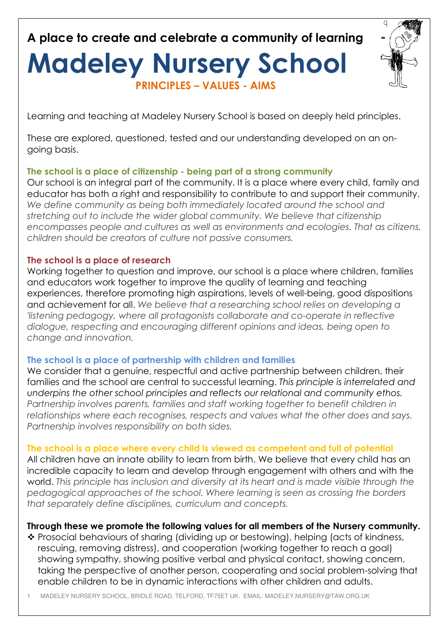**A place to create and celebrate a community of learning -**

# **Madeley Nursery School PRINCIPLES – VALUES - AIMS**



Learning and teaching at Madeley Nursery School is based on deeply held principles.

These are explored, questioned, tested and our understanding developed on an ongoing basis.

### **The school is a place of citizenship - being part of a strong community**

Our school is an integral part of the community. It is a place where every child, family and educator has both a right and responsibility to contribute to and support their community. *We define community as being both immediately located around the school and stretching out to include the wider global community. We believe that citizenship encompasses people and cultures as well as environments and ecologies. That as citizens, children should be creators of culture not passive consumers.* 

#### **The school is a place of research**

Working together to question and improve, our school is a place where children, families and educators work together to improve the quality of learning and teaching experiences, therefore promoting high aspirations, levels of well-being, good dispositions and achievement for all. *We believe that a researching school relies on developing a 'listening pedagogy, where all protagonists collaborate and co-operate in reflective dialogue, respecting and encouraging different opinions and ideas, being open to change and innovation.* 

### **The school is a place of partnership with children and families**

We consider that a genuine, respect ful and active partnership between children, their families and the school are central to successful learning. *This principle is interrelated and underpins the other school principles and reflects our relational and community ethos. Partnership involves parents, families and staff working together to benefit children in relationships where each recognises, respects and values what the other does and says. Partnership involves responsibility on both sides.*

### **The school is a place where every child is viewed as competent and full of potential**

All children have an innate ability to learn from birth. We believe that every child has an incredible capacity to learn and develop through engagement with others and with the world. *This principle has inclusion and diversity at its heart and is made visible through the pedagogical approaches of the school. Where learning is seen as crossing the borders that separately define disciplines, curriculum and concepts.*

### **Through these we promote the following values for all members of the Nursery community.**

\* Prosocial behaviours of sharing (dividing up or bestowing), helping (acts of kindness, rescuing, removing distress), and cooperation (working together to reach a goal) showing sympathy, showing positive verbal and physical contact, showing concern, taking the perspective of another person, cooperating and social problem-solving that enable children to be in dynamic interactions with other children and adults.

1 MADELEY NURSERY SCHOOL, BRIDLE ROAD, TELFORD, TF75ET UK. EMAIL: MADELEY.NURSERY@TAW.ORG.UK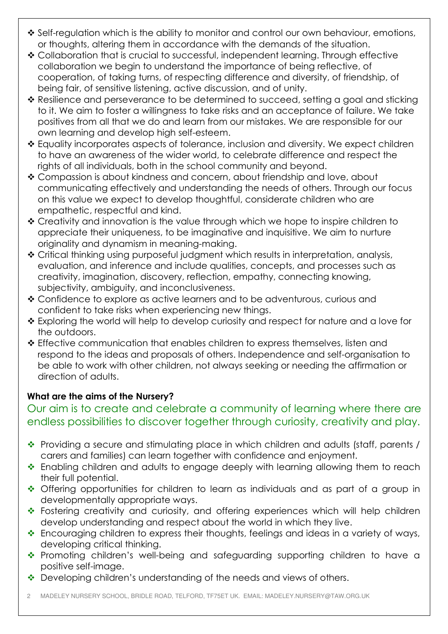- ◆ Self-regulation which is the ability to monitor and control our own behaviour, emotions, or thoughts, altering them in accordance with the demands of the situation.
- Collaboration that is crucial to successful, independent learning. Through effective collaboration we begin to understand the importance of being reflective, of cooperation, of taking turns, of respecting difference and diversity, of friendship, of being fair, of sensitive listening, active discussion, and of unity.
- \* Resilience and perseverance to be determined to succeed, setting a goal and sticking to it. We aim to foster a willingness to take risks and an acceptance of failure. We take positives from all that we do and learn from our mistakes. We are responsible for our own learning and develop high self-esteem.
- Equality incorporates aspects of tolerance, inclusion and diversity. We expect children to have an awareness of the wider world, to celebrate difference and respect the rights of all individuals, both in the school community and beyond.
- Compassion is about kindness and concern, about friendship and love, about communicating effectively and understanding the needs of others. Through our focus on this value we expect to develop thoughtful, considerate children who are empathetic, respectful and kind.
- Creativity and innovation is the value through which we hope to inspire children to appreciate their uniqueness, to be imaginative and inquisitive. We aim to nurture originality and dynamism in meaning-making.
- Critical thinking using purposeful judgment which results in interpretation, analysis, evaluation, and inference and include qualities, concepts, and processes such as creativity, imagination, discovery, reflection, empathy, connecting knowing, subjectivity, ambiguity, and inconclusiveness.
- Confidence to explore as active learners and to be adventurous, curious and confident to take risks when experiencing new things.
- Exploring the world will help to develop curiosity and respect for nature and a love for the outdoors.
- Effective communication that enables children to express themselves, listen and respond to the ideas and proposals of others. Independence and self-organisation to be able to work with other children, not always seeking or needing the affirmation or direction of adults.

## **What are the aims of the Nursery?**

## Our aim is to create and celebrate a community of learning where there are endless possibilities to discover together through curiosity, creativity and play.

- \* Providing a secure and stimulating place in which children and adults (staff, parents / carers and families) can learn together with confidence and enjoyment.
- ❖ Enabling children and adults to engage deeply with learning allowing them to reach their full potential.
- Offering opportunities for children to learn as individuals and as part of a group in developmentally appropriate ways.
- \* Fostering creativity and curiosity, and offering experiences which will help children develop understanding and respect about the world in which they live.
- \* Encouraging children to express their thoughts, feelings and ideas in a variety of ways, developing critical thinking.
- Promoting children's well-being and safeguarding supporting children to have a positive self-image.
- Developing children's understanding of the needs and views of others.
- 2 MADELEY NURSERY SCHOOL, BRIDLE ROAD, TELFORD, TF75ET UK. EMAIL: MADELEY.NURSERY@TAW.ORG.UK